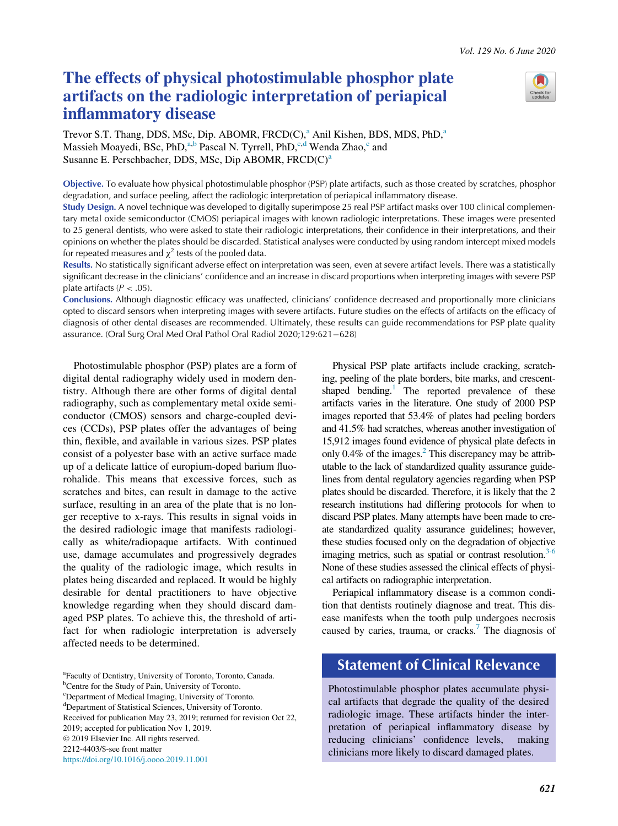# The effects of physical photostimulable phosphor plate artifacts on the radiologic interpretation of periapical inflammatory disease



Trevor S.T. Th[a](#page-0-0)ng, DDS, MSc, Dip. ABOMR,  $FRCD(C)$ ,  $^{a}$  Anil Kishen, BDS, MDS, PhD, $^{a}$ Massieh Moayedi, BSc, PhD,<sup>[a,b](#page-0-0)</sup> Pascal N. Tyrrell, PhD,<sup>[c,d](#page-0-0)</sup> Wenda Zhao,<sup>[c](#page-0-0)</sup> and Sus[a](#page-0-0)nne E. Perschbacher, DDS, MSc, Dip ABOMR,  $FRCD(C)^{a}$ 

<span id="page-0-0"></span>Objective. To evaluate how physical photostimulable phosphor (PSP) plate artifacts, such as those created by scratches, phosphor degradation, and surface peeling, affect the radiologic interpretation of periapical inflammatory disease.

Study Design. A novel technique was developed to digitally superimpose 25 real PSP artifact masks over 100 clinical complementary metal oxide semiconductor (CMOS) periapical images with known radiologic interpretations. These images were presented to 25 general dentists, who were asked to state their radiologic interpretations, their confidence in their interpretations, and their opinions on whether the plates should be discarded. Statistical analyses were conducted by using random intercept mixed models for repeated measures and  $\chi^2$  tests of the pooled data.

Results. No statistically significant adverse effect on interpretation was seen, even at severe artifact levels. There was a statistically significant decrease in the clinicians' confidence and an increase in discard proportions when interpreting images with severe PSP plate artifacts ( $P < .05$ ).

Conclusions. Although diagnostic efficacy was unaffected, clinicians' confidence decreased and proportionally more clinicians opted to discard sensors when interpreting images with severe artifacts. Future studies on the effects of artifacts on the efficacy of diagnosis of other dental diseases are recommended. Ultimately, these results can guide recommendations for PSP plate quality assurance. (Oral Surg Oral Med Oral Pathol Oral Radiol 2020;129:621-628)

Photostimulable phosphor (PSP) plates are a form of digital dental radiography widely used in modern dentistry. Although there are other forms of digital dental radiography, such as complementary metal oxide semiconductor (CMOS) sensors and charge-coupled devices (CCDs), PSP plates offer the advantages of being thin, flexible, and available in various sizes. PSP plates consist of a polyester base with an active surface made up of a delicate lattice of europium-doped barium fluorohalide. This means that excessive forces, such as scratches and bites, can result in damage to the active surface, resulting in an area of the plate that is no longer receptive to x-rays. This results in signal voids in the desired radiologic image that manifests radiologically as white/radiopaque artifacts. With continued use, damage accumulates and progressively degrades the quality of the radiologic image, which results in plates being discarded and replaced. It would be highly desirable for dental practitioners to have objective knowledge regarding when they should discard damaged PSP plates. To achieve this, the threshold of artifact for when radiologic interpretation is adversely affected needs to be determined.

Physical PSP plate artifacts include cracking, scratching, peeling of the plate borders, bite marks, and crescentshaped bending.<sup>1</sup> The reported prevalence of these artifacts varies in the literature. One study of 2000 PSP images reported that 53.4% of plates had peeling borders and 41.5% had scratches, whereas another investigation of 15,912 images found evidence of physical plate defects in only  $0.4\%$  of the images.<sup>2</sup> This discrepancy may be attributable to the lack of standardized quality assurance guidelines from dental regulatory agencies regarding when PSP plates should be discarded. Therefore, it is likely that the 2 research institutions had differing protocols for when to discard PSP plates. Many attempts have been made to create standardized quality assurance guidelines; however, these studies focused only on the degradation of objective imaging metrics, such as spatial or contrast resolution. $3-6$ None of these studies assessed the clinical effects of physical artifacts on radiographic interpretation.

Periapical inflammatory disease is a common condition that dentists routinely diagnose and treat. This disease manifests when the tooth pulp undergoes necrosis caused by caries, trauma, or cracks.<sup>[7](#page-7-3)</sup> The diagnosis of

# Statement of Clinical Relevance

Photostimulable phosphor plates accumulate physical artifacts that degrade the quality of the desired radiologic image. These artifacts hinder the interpretation of periapical inflammatory disease by reducing clinicians' confidence levels, making clinicians more likely to discard damaged plates.

a Faculty of Dentistry, University of Toronto, Toronto, Canada.

<sup>&</sup>lt;sup>b</sup>Centre for the Study of Pain, University of Toronto.

<sup>&</sup>lt;sup>c</sup>Department of Medical Imaging, University of Toronto.

d Department of Statistical Sciences, University of Toronto.

Received for publication May 23, 2019; returned for revision Oct 22,

<sup>2019;</sup> accepted for publication Nov 1, 2019. 2019 Elsevier Inc. All rights reserved.

<sup>2212-4403/\$-</sup>see front matter

<https://doi.org/10.1016/j.oooo.2019.11.001>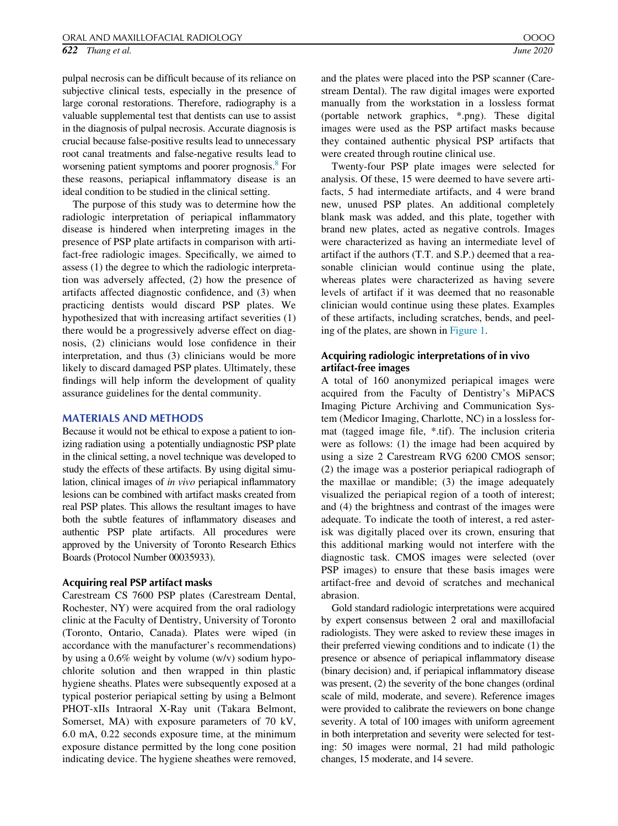pulpal necrosis can be difficult because of its reliance on subjective clinical tests, especially in the presence of large coronal restorations. Therefore, radiography is a valuable supplemental test that dentists can use to assist in the diagnosis of pulpal necrosis. Accurate diagnosis is crucial because false-positive results lead to unnecessary root canal treatments and false-negative results lead to worsening patient symptoms and poorer prognosis.<sup>8</sup> For these reasons, periapical inflammatory disease is an ideal condition to be studied in the clinical setting.

The purpose of this study was to determine how the radiologic interpretation of periapical inflammatory disease is hindered when interpreting images in the presence of PSP plate artifacts in comparison with artifact-free radiologic images. Specifically, we aimed to assess (1) the degree to which the radiologic interpretation was adversely affected, (2) how the presence of artifacts affected diagnostic confidence, and (3) when practicing dentists would discard PSP plates. We hypothesized that with increasing artifact severities (1) there would be a progressively adverse effect on diagnosis, (2) clinicians would lose confidence in their interpretation, and thus (3) clinicians would be more likely to discard damaged PSP plates. Ultimately, these findings will help inform the development of quality assurance guidelines for the dental community.

#### MATERIALS AND METHODS

Because it would not be ethical to expose a patient to ionizing radiation using a potentially undiagnostic PSP plate in the clinical setting, a novel technique was developed to study the effects of these artifacts. By using digital simulation, clinical images of in vivo periapical inflammatory lesions can be combined with artifact masks created from real PSP plates. This allows the resultant images to have both the subtle features of inflammatory diseases and authentic PSP plate artifacts. All procedures were approved by the University of Toronto Research Ethics Boards (Protocol Number 00035933).

#### Acquiring real PSP artifact masks

Carestream CS 7600 PSP plates (Carestream Dental, Rochester, NY) were acquired from the oral radiology clinic at the Faculty of Dentistry, University of Toronto (Toronto, Ontario, Canada). Plates were wiped (in accordance with the manufacturer's recommendations) by using a 0.6% weight by volume (w/v) sodium hypochlorite solution and then wrapped in thin plastic hygiene sheaths. Plates were subsequently exposed at a typical posterior periapical setting by using a Belmont PHOT-xIIs Intraoral X-Ray unit (Takara Belmont, Somerset, MA) with exposure parameters of 70 kV, 6.0 mA, 0.22 seconds exposure time, at the minimum exposure distance permitted by the long cone position indicating device. The hygiene sheathes were removed, and the plates were placed into the PSP scanner (Carestream Dental). The raw digital images were exported manually from the workstation in a lossless format (portable network graphics, \*.png). These digital images were used as the PSP artifact masks because they contained authentic physical PSP artifacts that were created through routine clinical use.

Twenty-four PSP plate images were selected for analysis. Of these, 15 were deemed to have severe artifacts, 5 had intermediate artifacts, and 4 were brand new, unused PSP plates. An additional completely blank mask was added, and this plate, together with brand new plates, acted as negative controls. Images were characterized as having an intermediate level of artifact if the authors (T.T. and S.P.) deemed that a reasonable clinician would continue using the plate, whereas plates were characterized as having severe levels of artifact if it was deemed that no reasonable clinician would continue using these plates. Examples of these artifacts, including scratches, bends, and peeling of the plates, are shown in [Figure 1](#page-2-0).

## Acquiring radiologic interpretations of in vivo artifact-free images

A total of 160 anonymized periapical images were acquired from the Faculty of Dentistry's MiPACS Imaging Picture Archiving and Communication System (Medicor Imaging, Charlotte, NC) in a lossless format (tagged image file, \*.tif). The inclusion criteria were as follows: (1) the image had been acquired by using a size 2 Carestream RVG 6200 CMOS sensor; (2) the image was a posterior periapical radiograph of the maxillae or mandible; (3) the image adequately visualized the periapical region of a tooth of interest; and (4) the brightness and contrast of the images were adequate. To indicate the tooth of interest, a red asterisk was digitally placed over its crown, ensuring that this additional marking would not interfere with the diagnostic task. CMOS images were selected (over PSP images) to ensure that these basis images were artifact-free and devoid of scratches and mechanical abrasion.

Gold standard radiologic interpretations were acquired by expert consensus between 2 oral and maxillofacial radiologists. They were asked to review these images in their preferred viewing conditions and to indicate (1) the presence or absence of periapical inflammatory disease (binary decision) and, if periapical inflammatory disease was present, (2) the severity of the bone changes (ordinal scale of mild, moderate, and severe). Reference images were provided to calibrate the reviewers on bone change severity. A total of 100 images with uniform agreement in both interpretation and severity were selected for testing: 50 images were normal, 21 had mild pathologic changes, 15 moderate, and 14 severe.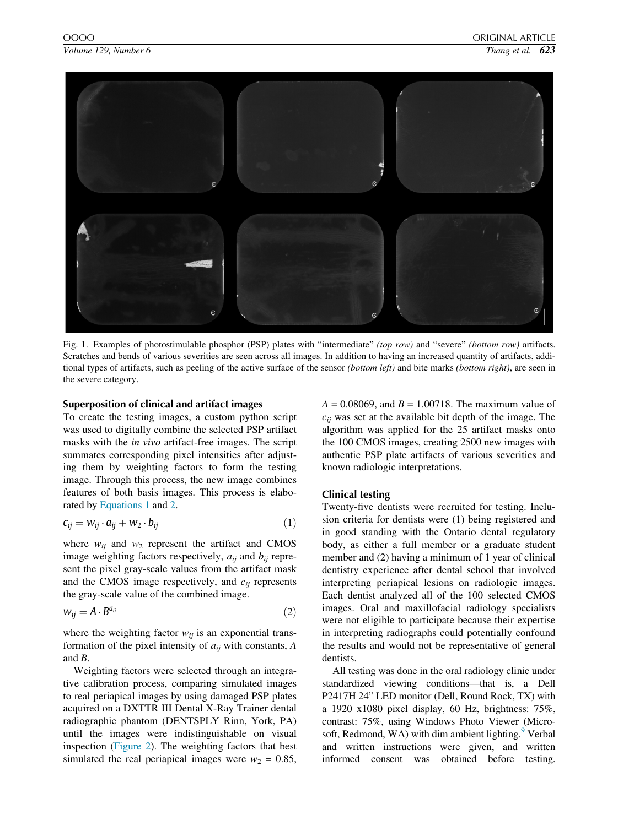<span id="page-2-0"></span>

Fig. 1. Examples of photostimulable phosphor (PSP) plates with "intermediate" (top row) and "severe" (bottom row) artifacts. Scratches and bends of various severities are seen across all images. In addition to having an increased quantity of artifacts, additional types of artifacts, such as peeling of the active surface of the sensor (bottom left) and bite marks (bottom right), are seen in the severe category.

#### Superposition of clinical and artifact images

To create the testing images, a custom python script was used to digitally combine the selected PSP artifact masks with the in vivo artifact-free images. The script summates corresponding pixel intensities after adjusting them by weighting factors to form the testing image. Through this process, the new image combines features of both basis images. This process is elaborated by [Equations 1](#page-2-1) and [2](#page-2-2).

<span id="page-2-1"></span>
$$
c_{ij} = w_{ij} \cdot a_{ij} + w_2 \cdot b_{ij} \tag{1}
$$

where  $w_{ij}$  and  $w_2$  represent the artifact and CMOS image weighting factors respectively,  $a_{ij}$  and  $b_{ij}$  represent the pixel gray-scale values from the artifact mask and the CMOS image respectively, and  $c_{ij}$  represents the gray-scale value of the combined image.

<span id="page-2-2"></span>
$$
w_{ij} = A \cdot B^{a_{ij}} \tag{2}
$$

where the weighting factor  $w_{ij}$  is an exponential transformation of the pixel intensity of  $a_{ij}$  with constants, A and B.

Weighting factors were selected through an integrative calibration process, comparing simulated images to real periapical images by using damaged PSP plates acquired on a DXTTR III Dental X-Ray Trainer dental radiographic phantom (DENTSPLY Rinn, York, PA) until the images were indistinguishable on visual inspection ([Figure 2\)](#page-3-0). The weighting factors that best simulated the real periapical images were  $w_2 = 0.85$ ,  $A = 0.08069$ , and  $B = 1.00718$ . The maximum value of  $c_{ij}$  was set at the available bit depth of the image. The algorithm was applied for the 25 artifact masks onto the 100 CMOS images, creating 2500 new images with authentic PSP plate artifacts of various severities and known radiologic interpretations.

#### Clinical testing

Twenty-five dentists were recruited for testing. Inclusion criteria for dentists were (1) being registered and in good standing with the Ontario dental regulatory body, as either a full member or a graduate student member and (2) having a minimum of 1 year of clinical dentistry experience after dental school that involved interpreting periapical lesions on radiologic images. Each dentist analyzed all of the 100 selected CMOS images. Oral and maxillofacial radiology specialists were not eligible to participate because their expertise in interpreting radiographs could potentially confound the results and would not be representative of general dentists.

All testing was done in the oral radiology clinic under standardized viewing conditions—that is, a Dell P2417H 24" LED monitor (Dell, Round Rock, TX) with a 1920 x1080 pixel display, 60 Hz, brightness: 75%, contrast: 75%, using Windows Photo Viewer (Microsoft, Redmond, WA) with dim ambient lighting. $9$  Verbal and written instructions were given, and written informed consent was obtained before testing.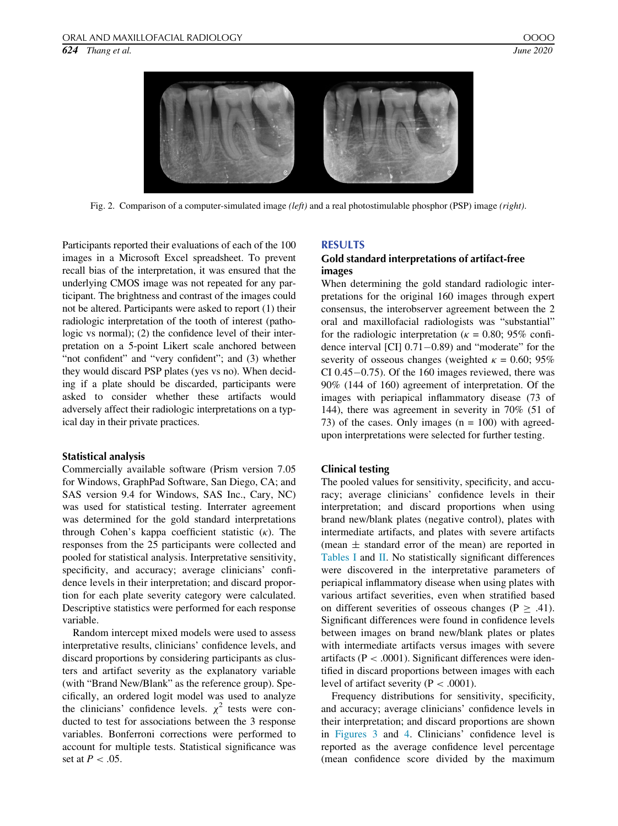<span id="page-3-0"></span>

Fig. 2. Comparison of a computer-simulated image (left) and a real photostimulable phosphor (PSP) image (right).

Participants reported their evaluations of each of the 100 images in a Microsoft Excel spreadsheet. To prevent recall bias of the interpretation, it was ensured that the underlying CMOS image was not repeated for any participant. The brightness and contrast of the images could not be altered. Participants were asked to report (1) their radiologic interpretation of the tooth of interest (pathologic vs normal); (2) the confidence level of their interpretation on a 5-point Likert scale anchored between "not confident" and "very confident"; and (3) whether they would discard PSP plates (yes vs no). When deciding if a plate should be discarded, participants were asked to consider whether these artifacts would adversely affect their radiologic interpretations on a typical day in their private practices.

#### Statistical analysis

Commercially available software (Prism version 7.05 for Windows, GraphPad Software, San Diego, CA; and SAS version 9.4 for Windows, SAS Inc., Cary, NC) was used for statistical testing. Interrater agreement was determined for the gold standard interpretations through Cohen's kappa coefficient statistic  $(\kappa)$ . The responses from the 25 participants were collected and pooled for statistical analysis. Interpretative sensitivity, specificity, and accuracy; average clinicians' confidence levels in their interpretation; and discard proportion for each plate severity category were calculated. Descriptive statistics were performed for each response variable.

Random intercept mixed models were used to assess interpretative results, clinicians' confidence levels, and discard proportions by considering participants as clusters and artifact severity as the explanatory variable (with "Brand New/Blank" as the reference group). Specifically, an ordered logit model was used to analyze the clinicians' confidence levels.  $\chi^2$  tests were conducted to test for associations between the 3 response variables. Bonferroni corrections were performed to account for multiple tests. Statistical significance was set at  $P < .05$ .

#### RESULTS

## Gold standard interpretations of artifact-free images

When determining the gold standard radiologic interpretations for the original 160 images through expert consensus, the interobserver agreement between the 2 oral and maxillofacial radiologists was "substantial" for the radiologic interpretation ( $\kappa = 0.80$ ; 95% confidence interval [CI]  $0.71-0.89$ ) and "moderate" for the severity of osseous changes (weighted  $\kappa = 0.60; 95\%$ CI 0.45 $-0.75$ ). Of the 160 images reviewed, there was 90% (144 of 160) agreement of interpretation. Of the images with periapical inflammatory disease (73 of 144), there was agreement in severity in 70% (51 of 73) of the cases. Only images  $(n = 100)$  with agreedupon interpretations were selected for further testing.

#### Clinical testing

The pooled values for sensitivity, specificity, and accuracy; average clinicians' confidence levels in their interpretation; and discard proportions when using brand new/blank plates (negative control), plates with intermediate artifacts, and plates with severe artifacts (mean  $\pm$  standard error of the mean) are reported in [Tables I](#page-4-0) and [II](#page-4-1). No statistically significant differences were discovered in the interpretative parameters of periapical inflammatory disease when using plates with various artifact severities, even when stratified based on different severities of osseous changes ( $P \ge .41$ ). Significant differences were found in confidence levels between images on brand new/blank plates or plates with intermediate artifacts versus images with severe artifacts ( $P < .0001$ ). Significant differences were identified in discard proportions between images with each level of artifact severity ( $P < .0001$ ).

Frequency distributions for sensitivity, specificity, and accuracy; average clinicians' confidence levels in their interpretation; and discard proportions are shown in [Figures 3](#page-4-2) and [4.](#page-5-0) Clinicians' confidence level is reported as the average confidence level percentage (mean confidence score divided by the maximum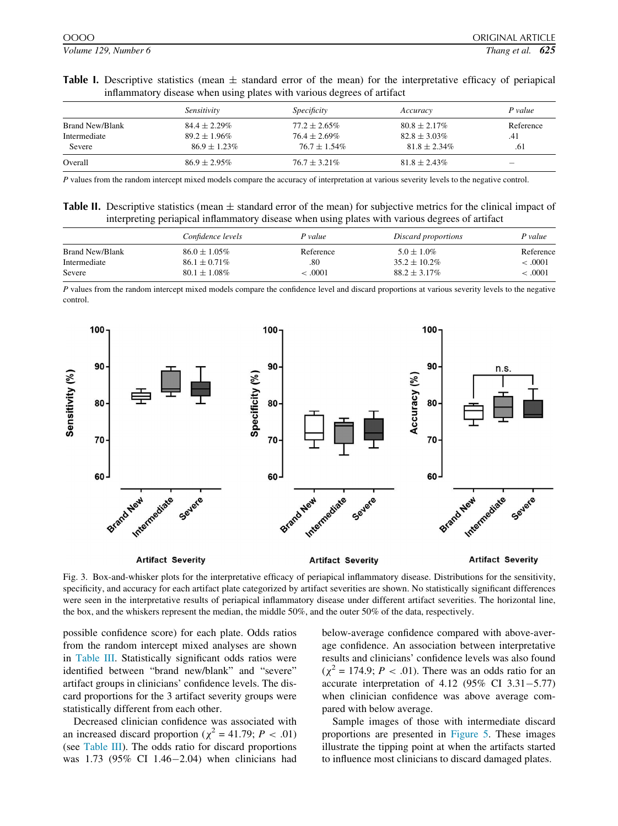<span id="page-4-0"></span>Table I. Descriptive statistics (mean  $\pm$  standard error of the mean) for the interpretative efficacy of periapical inflammatory disease when using plates with various degrees of artifact

|                        | Sensitivity       | <i>Specificity</i> | Accuracy          | P value   |
|------------------------|-------------------|--------------------|-------------------|-----------|
|                        |                   |                    |                   |           |
| <b>Brand New/Blank</b> | $84.4 \pm 2.29\%$ | $77.2 \pm 2.65\%$  | $80.8 \pm 2.17\%$ | Reference |
| Intermediate           | $89.2 \pm 1.96\%$ | $76.4 \pm 2.69\%$  | $82.8 + 3.03\%$   | .41       |
| Severe                 | $86.9 + 1.23\%$   | $76.7 + 1.54\%$    | $81.8 + 2.34\%$   | .61       |
| Overall                | $86.9 + 2.95\%$   | $76.7 + 3.21\%$    | $81.8 \pm 2.43\%$ |           |

P values from the random intercept mixed models compare the accuracy of interpretation at various severity levels to the negative control.

<span id="page-4-1"></span>

| <b>Table II.</b> Descriptive statistics (mean $\pm$ standard error of the mean) for subjective metrics for the clinical impact of |  |
|-----------------------------------------------------------------------------------------------------------------------------------|--|
| interpreting periapical inflammatory disease when using plates with various degrees of artifact                                   |  |

|                 | Confidence levels | P value   | Discard proportions | P value   |
|-----------------|-------------------|-----------|---------------------|-----------|
| Brand New/Blank | $86.0 \pm 1.05\%$ | Reference | $5.0 \pm 1.0\%$     | Reference |
| Intermediate    | $86.1 \pm 0.71\%$ | .80       | $35.2 + 10.2\%$     | < 0.001   |
| Severe          | $80.1 \pm 1.08\%$ | .0001     | $88.2 + 3.17\%$     | <.0001    |

P values from the random intercept mixed models compare the confidence level and discard proportions at various severity levels to the negative control.

<span id="page-4-2"></span>

Fig. 3. Box-and-whisker plots for the interpretative efficacy of periapical inflammatory disease. Distributions for the sensitivity, specificity, and accuracy for each artifact plate categorized by artifact severities are shown. No statistically significant differences were seen in the interpretative results of periapical inflammatory disease under different artifact severities. The horizontal line, the box, and the whiskers represent the median, the middle 50%, and the outer 50% of the data, respectively.

possible confidence score) for each plate. Odds ratios from the random intercept mixed analyses are shown in [Table III.](#page-5-1) Statistically significant odds ratios were identified between "brand new/blank" and "severe" artifact groups in clinicians' confidence levels. The discard proportions for the 3 artifact severity groups were statistically different from each other.

Decreased clinician confidence was associated with an increased discard proportion ( $\chi^2$  = 41.79; P < .01) (see [Table III](#page-5-1)). The odds ratio for discard proportions was  $1.73$  (95% CI 1.46–2.04) when clinicians had below-average confidence compared with above-average confidence. An association between interpretative results and clinicians' confidence levels was also found  $(\chi^2 = 174.9; P < .01)$ . There was an odds ratio for an accurate interpretation of  $4.12$  (95% CI  $3.31-5.77$ ) when clinician confidence was above average compared with below average.

Sample images of those with intermediate discard proportions are presented in [Figure 5](#page-5-2). These images illustrate the tipping point at when the artifacts started to influence most clinicians to discard damaged plates.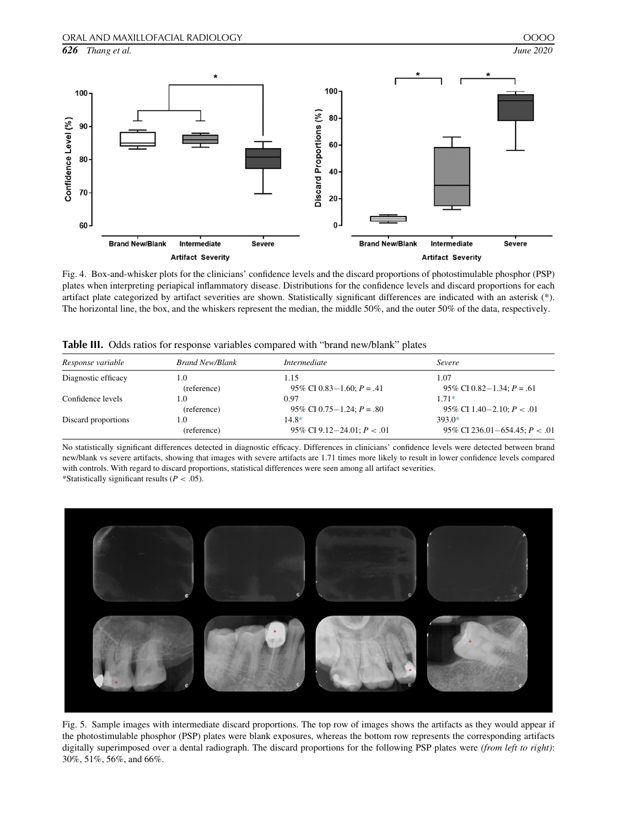

<span id="page-5-0"></span>

Fig. 4. Box-and-whisker plots for the clinicians' confidence levels and the discard proportions of photostimulable phosphor (PSP) plates when interpreting periapical inflammatory disease. Distributions for the confidence levels and discard proportions for each artifact plate categorized by artifact severities are shown. Statistically significant differences are indicated with an asterisk (\*). The horizontal line, the box, and the whiskers represent the median, the middle 50%, and the outer 50% of the data, respectively.

<span id="page-5-1"></span>

| Table III. Odds ratios for response variables compared with "brand new/blank" plates |  |
|--------------------------------------------------------------------------------------|--|
|--------------------------------------------------------------------------------------|--|

| Response variable   | <b>Brand New/Blank</b> | <i>Intermediate</i>            | Severe                           |
|---------------------|------------------------|--------------------------------|----------------------------------|
| Diagnostic efficacy | 1.0                    | 1.15                           | 1.07                             |
|                     | (reference)            | 95\% CI 0.83 – 1.60; $P = .41$ | 95\% CI 0.82 – 1.34; $P = .61$   |
| Confidence levels   | 1.0                    | 0.97                           | $1.71*$                          |
|                     | (reference)            | 95\% CI 0.75 – 1.24; $P = .80$ | 95\% CI 1.40 – 2.10; $P < .01$   |
| Discard proportions | 1.0                    | $14.8*$                        | $393.0*$                         |
|                     | (reference)            | 95\% CI 9.12-24.01; $P < .01$  | 95\% CI 236.01-654.45; $P < .01$ |

No statistically significant differences detected in diagnostic efficacy. Differences in clinicians' confidence levels were detected between brand new/blank vs severe artifacts, showing that images with severe artifacts are 1.71 times more likely to result in lower confidence levels compared with controls. With regard to discard proportions, statistical differences were seen among all artifact severities. \*Statistically significant results ( $P < .05$ ).

<span id="page-5-3"></span><span id="page-5-2"></span>

Fig. 5. Sample images with intermediate discard proportions. The top row of images shows the artifacts as they would appear if the photostimulable phosphor (PSP) plates were blank exposures, whereas the bottom row represents the corresponding artifacts digitally superimposed over a dental radiograph. The discard proportions for the following PSP plates were (from left to right): 30%, 51%, 56%, and 66%.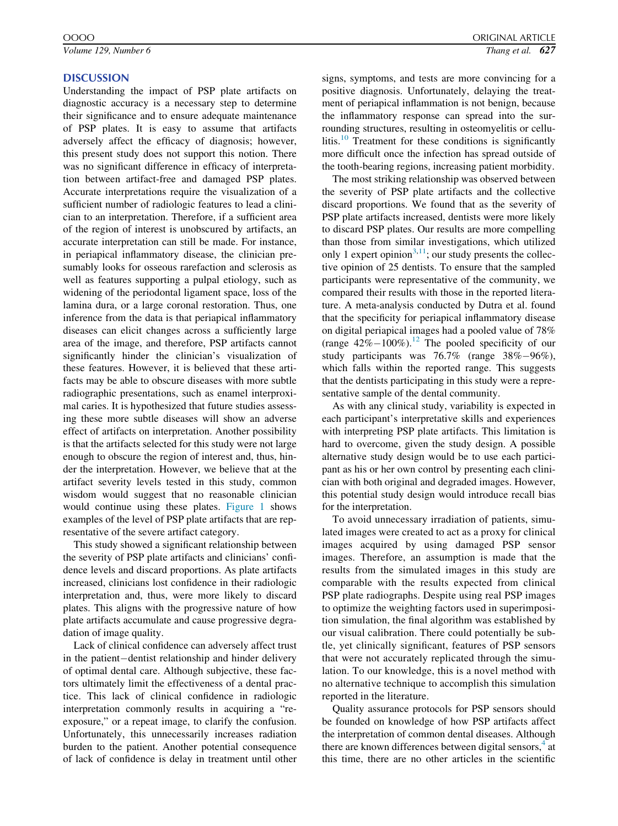Volume 129, Number 6  $\overline{27}$  Thang et al.  $\overline{627}$ 

#### **DISCUSSION**

Understanding the impact of PSP plate artifacts on diagnostic accuracy is a necessary step to determine their significance and to ensure adequate maintenance of PSP plates. It is easy to assume that artifacts adversely affect the efficacy of diagnosis; however, this present study does not support this notion. There was no significant difference in efficacy of interpretation between artifact-free and damaged PSP plates. Accurate interpretations require the visualization of a sufficient number of radiologic features to lead a clinician to an interpretation. Therefore, if a sufficient area of the region of interest is unobscured by artifacts, an accurate interpretation can still be made. For instance, in periapical inflammatory disease, the clinician presumably looks for osseous rarefaction and sclerosis as well as features supporting a pulpal etiology, such as widening of the periodontal ligament space, loss of the lamina dura, or a large coronal restoration. Thus, one inference from the data is that periapical inflammatory diseases can elicit changes across a sufficiently large area of the image, and therefore, PSP artifacts cannot significantly hinder the clinician's visualization of these features. However, it is believed that these artifacts may be able to obscure diseases with more subtle radiographic presentations, such as enamel interproximal caries. It is hypothesized that future studies assessing these more subtle diseases will show an adverse effect of artifacts on interpretation. Another possibility is that the artifacts selected for this study were not large enough to obscure the region of interest and, thus, hinder the interpretation. However, we believe that at the artifact severity levels tested in this study, common wisdom would suggest that no reasonable clinician would continue using these plates. [Figure 1](#page-2-0) shows examples of the level of PSP plate artifacts that are representative of the severe artifact category.

This study showed a significant relationship between the severity of PSP plate artifacts and clinicians' confidence levels and discard proportions. As plate artifacts increased, clinicians lost confidence in their radiologic interpretation and, thus, were more likely to discard plates. This aligns with the progressive nature of how plate artifacts accumulate and cause progressive degradation of image quality.

Lack of clinical confidence can adversely affect trust in the patient-dentist relationship and hinder delivery of optimal dental care. Although subjective, these factors ultimately limit the effectiveness of a dental practice. This lack of clinical confidence in radiologic interpretation commonly results in acquiring a "reexposure," or a repeat image, to clarify the confusion. Unfortunately, this unnecessarily increases radiation burden to the patient. Another potential consequence of lack of confidence is delay in treatment until other signs, symptoms, and tests are more convincing for a positive diagnosis. Unfortunately, delaying the treatment of periapical inflammation is not benign, because the inflammatory response can spread into the surrounding structures, resulting in osteomyelitis or cellu-litis.<sup>[10](#page-7-6)</sup> Treatment for these conditions is significantly more difficult once the infection has spread outside of the tooth-bearing regions, increasing patient morbidity.

The most striking relationship was observed between the severity of PSP plate artifacts and the collective discard proportions. We found that as the severity of PSP plate artifacts increased, dentists were more likely to discard PSP plates. Our results are more compelling than those from similar investigations, which utilized only 1 expert opinion<sup>[3](#page-7-2),11</sup>; our study presents the collective opinion of 25 dentists. To ensure that the sampled participants were representative of the community, we compared their results with those in the reported literature. A meta-analysis conducted by Dutra et al. found that the specificity for periapical inflammatory disease on digital periapical images had a pooled value of 78% (range  $42\% - 100\%$ ).<sup>12</sup> The pooled specificity of our study participants was  $76.7\%$  (range  $38\% - 96\%$ ), which falls within the reported range. This suggests that the dentists participating in this study were a representative sample of the dental community.

As with any clinical study, variability is expected in each participant's interpretative skills and experiences with interpreting PSP plate artifacts. This limitation is hard to overcome, given the study design. A possible alternative study design would be to use each participant as his or her own control by presenting each clinician with both original and degraded images. However, this potential study design would introduce recall bias for the interpretation.

To avoid unnecessary irradiation of patients, simulated images were created to act as a proxy for clinical images acquired by using damaged PSP sensor images. Therefore, an assumption is made that the results from the simulated images in this study are comparable with the results expected from clinical PSP plate radiographs. Despite using real PSP images to optimize the weighting factors used in superimposition simulation, the final algorithm was established by our visual calibration. There could potentially be subtle, yet clinically significant, features of PSP sensors that were not accurately replicated through the simulation. To our knowledge, this is a novel method with no alternative technique to accomplish this simulation reported in the literature.

Quality assurance protocols for PSP sensors should be founded on knowledge of how PSP artifacts affect the interpretation of common dental diseases. Although there are known differences between digital sensors, $4$  at this time, there are no other articles in the scientific